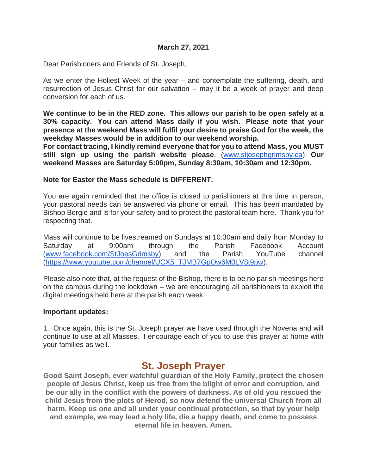#### **March 27, 2021**

Dear Parishioners and Friends of St. Joseph,

As we enter the Holiest Week of the year – and contemplate the suffering, death, and resurrection of Jesus Christ for our salvation – may it be a week of prayer and deep conversion for each of us.

**We continue to be in the RED zone. This allows our parish to be open safely at a 30% capacity. You can attend Mass daily if you wish. Please note that your presence at the weekend Mass will fulfil your desire to praise God for the week, the weekday Masses would be in addition to our weekend worship.**

**For contact tracing, I kindly remind everyone that for you to attend Mass, you MUST still sign up using the parish website please**. [\(www.stjosephgrimsby.ca\)](http://www.stjosephgrimsby.ca/). **Our weekend Masses are Saturday 5:00pm, Sunday 8:30am, 10:30am and 12:30pm.** 

#### **Note for Easter the Mass schedule is DIFFERENT.**

You are again reminded that the office is closed to parishioners at this time in person, your pastoral needs can be answered via phone or email. This has been mandated by Bishop Bergie and is for your safety and to protect the pastoral team here. Thank you for respecting that.

Mass will continue to be livestreamed on Sundays at 10:30am and daily from Monday to Saturday at 9:00am through the Parish Facebook Account [\(www.facebook.com/StJoesGrimsby\)](http://www.facebook.com/StJoesGrimsby) and the Parish YouTube channel [\(https://www.youtube.com/channel/UCX5\\_TJMB7GpOw6M0LV8t9pw\)](https://www.youtube.com/channel/UCX5_TJMB7GpOw6M0LV8t9pw).

Please also note that, at the request of the Bishop, there is to be no parish meetings here on the campus during the lockdown – we are encouraging all parishioners to exploit the digital meetings held here at the parish each week.

#### **Important updates:**

1. Once again, this is the St. Joseph prayer we have used through the Novena and will continue to use at all Masses. I encourage each of you to use this prayer at home with your families as well.

# **St. Joseph Prayer**

**Good Saint Joseph, ever watchful guardian of the Holy Family, protect the chosen people of Jesus Christ, keep us free from the blight of error and corruption, and be our ally in the conflict with the powers of darkness. As of old you rescued the child Jesus from the plots of Herod, so now defend the universal Church from all harm. Keep us one and all under your continual protection, so that by your help and example, we may lead a holy life, die a happy death, and come to possess eternal life in heaven. Amen.**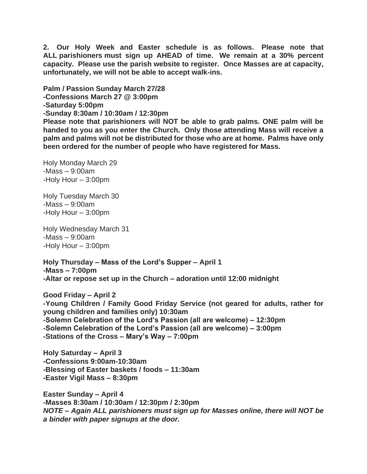**2. Our Holy Week and Easter schedule is as follows. Please note that ALL parishioners must sign up AHEAD of time. We remain at a 30% percent capacity. Please use the parish website to register. Once Masses are at capacity, unfortunately, we will not be able to accept walk-ins.**

**Palm / Passion Sunday March 27/28 -Confessions March 27 @ 3:00pm -Saturday 5:00pm -Sunday 8:30am / 10:30am / 12:30pm**

**Please note that parishioners will NOT be able to grab palms. ONE palm will be handed to you as you enter the Church. Only those attending Mass will receive a palm and palms will not be distributed for those who are at home. Palms have only been ordered for the number of people who have registered for Mass.** 

Holy Monday March 29 -Mass – 9:00am -Holy Hour – 3:00pm

Holy Tuesday March 30 -Mass – 9:00am -Holy Hour – 3:00pm

Holy Wednesday March 31 -Mass – 9:00am -Holy Hour – 3:00pm

**Holy Thursday – Mass of the Lord's Supper – April 1 -Mass – 7:00pm -Altar or repose set up in the Church – adoration until 12:00 midnight**

**Good Friday – April 2 -Young Children / Family Good Friday Service (not geared for adults, rather for young children and families only) 10:30am -Solemn Celebration of the Lord's Passion (all are welcome) – 12:30pm -Solemn Celebration of the Lord's Passion (all are welcome) – 3:00pm -Stations of the Cross – Mary's Way – 7:00pm**

**Holy Saturday – April 3 -Confessions 9:00am-10:30am -Blessing of Easter baskets / foods – 11:30am -Easter Vigil Mass – 8:30pm**

**Easter Sunday – April 4 -Masses 8:30am / 10:30am / 12:30pm / 2:30pm** *NOTE – Again ALL parishioners must sign up for Masses online, there will NOT be a binder with paper signups at the door.*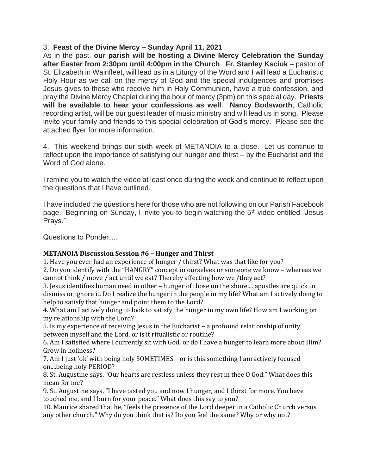### 3. **Feast of the Divine Mercy – Sunday April 11, 2021**

As in the past, **our parish will be hosting a Divine Mercy Celebration the Sunday after Easter from 2:30pm until 4:00pm in the Church**. **Fr. Stanley Ksciuk** – pastor of St. Elizabeth in Wainfleet, will lead us in a Liturgy of the Word and I will lead a Eucharistic Holy Hour as we call on the mercy of God and the special indulgences and promises Jesus gives to those who receive him in Holy Communion, have a true confession, and pray the Divine Mercy Chaplet during the hour of mercy (3pm) on this special day. **Priests will be available to hear your confessions as well**. **Nancy Bodsworth**, Catholic recording artist, will be our guest leader of music ministry and will lead us in song. Please invite your family and friends to this special celebration of God's mercy. Please see the attached flyer for more information.

4. This weekend brings our sixth week of METANOIA to a close. Let us continue to reflect upon the importance of satisfying our hunger and thirst – by the Eucharist and the Word of God alone.

I remind you to watch the video at least once during the week and continue to reflect upon the questions that I have outlined.

I have included the questions here for those who are not following on our Parish Facebook page. Beginning on Sunday, I invite you to begin watching the 5<sup>th</sup> video entitled "Jesus Prays."

Questions to Ponder

#### **METANOIA Discussion Session #6 – Hunger and Thirst**

1. Have you ever had an experience of hunger / thirst? What was that like for you?

2. Do you identify with the "HANGRY" concept in ourselves or someone we know – whereas we cannot think / move / act until we eat? Thereby affecting how we /they act?

3. Jesus identifies human need in other – hunger of those on the shore.... apostles are quick to dismiss or ignore it. Do I realize the hunger in the people in my life? What am I actively doing to help to satisfy that hunger and point them to the Lord?

4. What am I actively doing to look to satisfy the hunger in my own life? How am I working on my relationship with the Lord?

5. Is my experience of receiving Jesus in the Eucharist – a profound relationship of unity between myself and the Lord, or is it ritualistic or routine?

6. Am I satisfied where I currently sit with God, or do I have a hunger to learn more about Him? Grow in holiness?

7. Am I just 'ok' with being holy SOMETIMES – or is this something I am actively focused on....being holy PERIOD?

8. St. Augustine says, "Our hearts are restless unless they rest in thee O God." What does this mean for me?

9. St. Augustine says, "I have tasted you and now I hunger, and I thirst for more. You have touched me, and I burn for your peace." What does this say to you?

10. Maurice shared that he, "feels the presence of the Lord deeper in a Catholic Church versus any other church." Why do you think that is? Do you feel the same? Why or why not?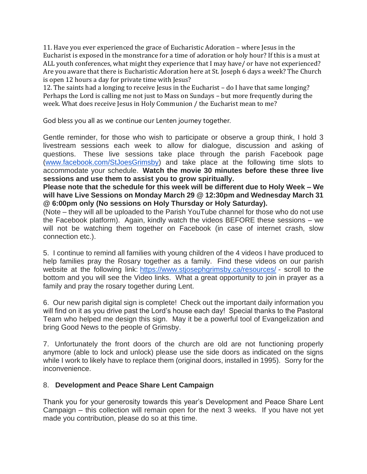11. Have you ever experienced the grace of Eucharistic Adoration – where Jesus in the Eucharist is exposed in the monstrance for a time of adoration or holy hour? If this is a must at ALL youth conferences, what might they experience that I may have/ or have not experienced? Are you aware that there is Eucharistic Adoration here at St. Joseph 6 days a week? The Church is open 12 hours a day for private time with Jesus?

12. The saints had a longing to receive Jesus in the Eucharist – do I have that same longing? Perhaps the Lord is calling me not just to Mass on Sundays – but more frequently during the week. What does receive Jesus in Holy Communion / the Eucharist mean to me?

God bless you all as we continue our Lenten journey together.

Gentle reminder, for those who wish to participate or observe a group think, I hold 3 livestream sessions each week to allow for dialogue, discussion and asking of questions. These live sessions take place through the parish Facebook page [\(www.facebook.com/StJoesGrimsby\)](http://www.facebook.com/StJoesGrimsby) and take place at the following time slots to accommodate your schedule. **Watch the movie 30 minutes before these three live sessions and use them to assist you to grow spiritually.**

**Please note that the schedule for this week will be different due to Holy Week – We will have Live Sessions on Monday March 29 @ 12:30pm and Wednesday March 31 @ 6:00pm only (No sessions on Holy Thursday or Holy Saturday).** 

(Note – they will all be uploaded to the Parish YouTube channel for those who do not use the Facebook platform). Again, kindly watch the videos BEFORE these sessions – we will not be watching them together on Facebook (in case of internet crash, slow connection etc.).

5. I continue to remind all families with young children of the 4 videos I have produced to help families pray the Rosary together as a family. Find these videos on our parish website at the following link: <https://www.stjosephgrimsby.ca/resources/> - scroll to the bottom and you will see the Video links. What a great opportunity to join in prayer as a family and pray the rosary together during Lent.

6. Our new parish digital sign is complete! Check out the important daily information you will find on it as you drive past the Lord's house each day! Special thanks to the Pastoral Team who helped me design this sign. May it be a powerful tool of Evangelization and bring Good News to the people of Grimsby.

7. Unfortunately the front doors of the church are old are not functioning properly anymore (able to lock and unlock) please use the side doors as indicated on the signs while I work to likely have to replace them (original doors, installed in 1995). Sorry for the inconvenience.

#### 8. **Development and Peace Share Lent Campaign**

Thank you for your generosity towards this year's Development and Peace Share Lent Campaign – this collection will remain open for the next 3 weeks. If you have not yet made you contribution, please do so at this time.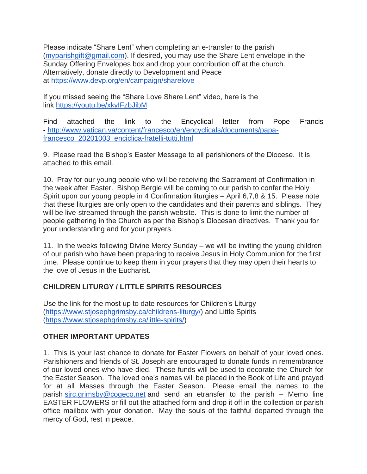Please indicate "Share Lent" when completing an e-transfer to the parish [\(myparishgift@gmail.com\)](mailto:myparishgift@gmail.com). If desired, you may use the Share Lent envelope in the Sunday Offering Envelopes box and drop your contribution off at the church. Alternatively, donate directly to Development and Peace at <https://www.devp.org/en/campaign/sharelove>

If you missed seeing the "Share Love Share Lent" video, here is the link <https://youtu.be/xkyIFzbJibM>

Find attached the link to the Encyclical letter from Pope Francis - [http://www.vatican.va/content/francesco/en/encyclicals/documents/papa](http://www.vatican.va/content/francesco/en/encyclicals/documents/papa-francesco_20201003_enciclica-fratelli-tutti.html)[francesco\\_20201003\\_enciclica-fratelli-tutti.html](http://www.vatican.va/content/francesco/en/encyclicals/documents/papa-francesco_20201003_enciclica-fratelli-tutti.html)

9. Please read the Bishop's Easter Message to all parishioners of the Diocese. It is attached to this email.

10. Pray for our young people who will be receiving the Sacrament of Confirmation in the week after Easter. Bishop Bergie will be coming to our parish to confer the Holy Spirit upon our young people in 4 Confirmation liturgies – April 6,7,8 & 15. Please note that these liturgies are only open to the candidates and their parents and siblings. They will be live-streamed through the parish website. This is done to limit the number of people gathering in the Church as per the Bishop's Diocesan directives. Thank you for your understanding and for your prayers.

11. In the weeks following Divine Mercy Sunday – we will be inviting the young children of our parish who have been preparing to receive Jesus in Holy Communion for the first time. Please continue to keep them in your prayers that they may open their hearts to the love of Jesus in the Eucharist.

# **CHILDREN LITURGY / LITTLE SPIRITS RESOURCES**

Use the link for the most up to date resources for Children's Liturgy [\(https://www.stjosephgrimsby.ca/childrens-liturgy/\)](https://www.stjosephgrimsby.ca/childrens-liturgy/) and Little Spirits [\(https://www.stjosephgrimsby.ca/little-spirits/\)](https://www.stjosephgrimsby.ca/little-spirits/)

# **OTHER IMPORTANT UPDATES**

1. This is your last chance to donate for Easter Flowers on behalf of your loved ones. Parishioners and friends of St. Joseph are encouraged to donate funds in remembrance of our loved ones who have died. These funds will be used to decorate the Church for the Easter Season. The loved one's names will be placed in the Book of Life and prayed for at all Masses through the Easter Season. Please email the names to the parish [sjrc.grimsby@cogeco.net](mailto:sjrc.grimsby@cogeco.net) and send an etransfer to the parish – Memo line EASTER FLOWERS or fill out the attached form and drop it off in the collection or parish office mailbox with your donation. May the souls of the faithful departed through the mercy of God, rest in peace.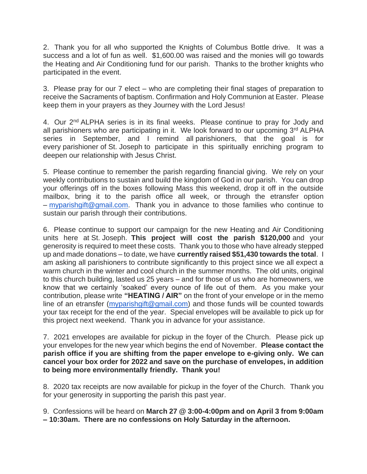2. Thank you for all who supported the Knights of Columbus Bottle drive. It was a success and a lot of fun as well. \$1,600.00 was raised and the monies will go towards the Heating and Air Conditioning fund for our parish. Thanks to the brother knights who participated in the event.

3. Please pray for our 7 elect – who are completing their final stages of preparation to receive the Sacraments of baptism. Confirmation and Holy Communion at Easter. Please keep them in your prayers as they Journey with the Lord Jesus!

4. Our 2<sup>nd</sup> ALPHA series is in its final weeks. Please continue to pray for Jody and all parishioners who are participating in it. We look forward to our upcoming 3<sup>rd</sup> ALPHA series in September, and I remind all parishioners, that the goal is for every parishioner of St. Joseph to participate in this spiritually enriching program to deepen our relationship with Jesus Christ.

5. Please continue to remember the parish regarding financial giving. We rely on your weekly contributions to sustain and build the kingdom of God in our parish. You can drop your offerings off in the boxes following Mass this weekend, drop it off in the outside mailbox, bring it to the parish office all week, or through the etransfer option – [myparishgift@gmail.com.](mailto:myparishgift@gmail.com) Thank you in advance to those families who continue to sustain our parish through their contributions.

6. Please continue to support our campaign for the new Heating and Air Conditioning units here at St. Joseph. **This project will cost the parish \$120,000** and your generosity is required to meet these costs. Thank you to those who have already stepped up and made donations – to date, we have **currently raised \$51,430 towards the total**. I am asking all parishioners to contribute significantly to this project since we all expect a warm church in the winter and cool church in the summer months. The old units, original to this church building, lasted us 25 years – and for those of us who are homeowners, we know that we certainly 'soaked' every ounce of life out of them. As you make your contribution, please write **"HEATING / AIR"** on the front of your envelope or in the memo line of an etransfer [\(myparishgift@gmail.com\)](mailto:myparishgift@gmail.com) and those funds will be counted towards your tax receipt for the end of the year. Special envelopes will be available to pick up for this project next weekend. Thank you in advance for your assistance.

7. 2021 envelopes are available for pickup in the foyer of the Church. Please pick up your envelopes for the new year which begins the end of November. **Please contact the parish office if you are shifting from the paper envelope to e-giving only. We can cancel your box order for 2022 and save on the purchase of envelopes, in addition to being more environmentally friendly. Thank you!**

8. 2020 tax receipts are now available for pickup in the foyer of the Church. Thank you for your generosity in supporting the parish this past year.

9. Confessions will be heard on **March 27 @ 3:00-4:00pm and on April 3 from 9:00am – 10:30am. There are no confessions on Holy Saturday in the afternoon.**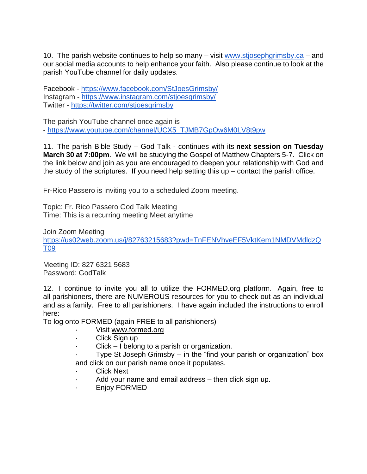10. The parish website continues to help so many – visit [www.stjosephgrimsby.ca](http://www.stjosephgrimsby.ca/) – and our social media accounts to help enhance your faith. Also please continue to look at the parish YouTube channel for daily updates.

Facebook - <https://www.facebook.com/StJoesGrimsby/> Instagram - <https://www.instagram.com/stjoesgrimsby/> Twitter - <https://twitter.com/stjoesgrimsby>

The parish YouTube channel once again is - [https://www.youtube.com/channel/UCX5\\_TJMB7GpOw6M0LV8t9pw](https://www.youtube.com/channel/UCX5_TJMB7GpOw6M0LV8t9pw)

11. The parish Bible Study – God Talk - continues with its **next session on Tuesday March 30 at 7:00pm**. We will be studying the Gospel of Matthew Chapters 5-7. Click on the link below and join as you are encouraged to deepen your relationship with God and the study of the scriptures. If you need help setting this  $up$  – contact the parish office.

Fr-Rico Passero is inviting you to a scheduled Zoom meeting.

Topic: Fr. Rico Passero God Talk Meeting Time: This is a recurring meeting Meet anytime

Join Zoom Meeting [https://us02web.zoom.us/j/82763215683?pwd=TnFENVhveEF5VktKem1NMDVMdldzQ](https://us02web.zoom.us/j/82763215683?pwd=TnFENVhveEF5VktKem1NMDVMdldzQT09) [T09](https://us02web.zoom.us/j/82763215683?pwd=TnFENVhveEF5VktKem1NMDVMdldzQT09)

Meeting ID: 827 6321 5683 Password: GodTalk

12. I continue to invite you all to utilize the FORMED.org platform. Again, free to all parishioners, there are NUMEROUS resources for you to check out as an individual and as a family. Free to all parishioners. I have again included the instructions to enroll here:

To log onto FORMED (again FREE to all parishioners)

- · Visit [www.formed.org](http://www.formed.org/)
- Click Sign up
- $Click I belong to a parish or organization.$

Type St Joseph Grimsby  $-$  in the "find your parish or organization" box and click on our parish name once it populates.

- **Click Next**
- Add your name and email address then click sign up.
- Enjoy FORMED